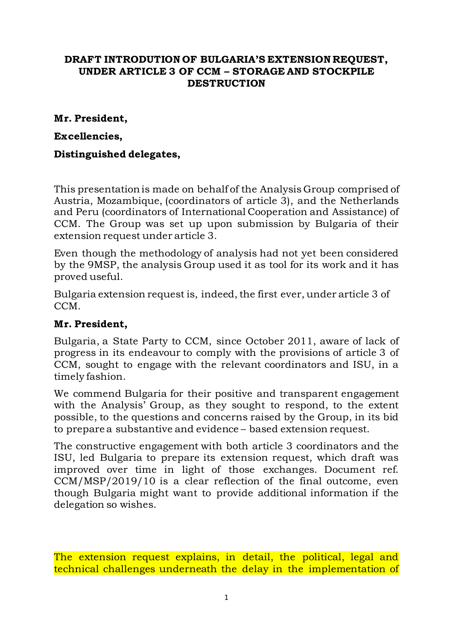### **DRAFT INTRODUTION OF BULGARIA'S EXTENSION REQUEST, UNDER ARTICLE 3 OF CCM – STORAGE AND STOCKPILE DESTRUCTION**

#### **Mr. President,**

### **Excellencies,**

## **Distinguished delegates,**

This presentation is made on behalf of the Analysis Group comprised of Austria, Mozambique, (coordinators of article 3), and the Netherlands and Peru (coordinators of International Cooperation and Assistance) of CCM. The Group was set up upon submission by Bulgaria of their extension request under article 3.

Even though the methodology of analysis had not yet been considered by the 9MSP, the analysis Group used it as tool for its work and it has proved useful.

Bulgaria extension request is, indeed, the first ever, under article 3 of CCM.

### **Mr. President,**

Bulgaria, a State Party to CCM, since October 2011, aware of lack of progress in its endeavour to comply with the provisions of article 3 of CCM, sought to engage with the relevant coordinators and ISU, in a timely fashion.

We commend Bulgaria for their positive and transparent engagement with the Analysis' Group, as they sought to respond, to the extent possible, to the questions and concerns raised by the Group, in its bid to prepare a substantive and evidence – based extension request.

The constructive engagement with both article 3 coordinators and the ISU, led Bulgaria to prepare its extension request, which draft was improved over time in light of those exchanges. Document ref. CCM/MSP/2019/10 is a clear reflection of the final outcome, even though Bulgaria might want to provide additional information if the delegation so wishes.

The extension request explains, in detail, the political, legal and technical challenges underneath the delay in the implementation of